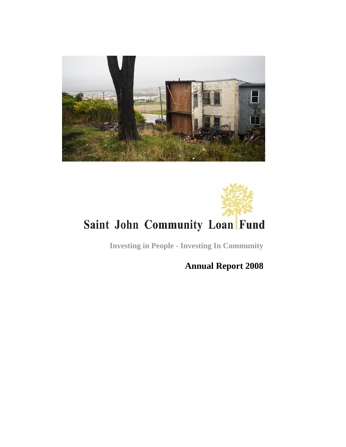

# Saint John Community Loan Fund

**Investing in People - Investing In Community**

**Annual Report 2008**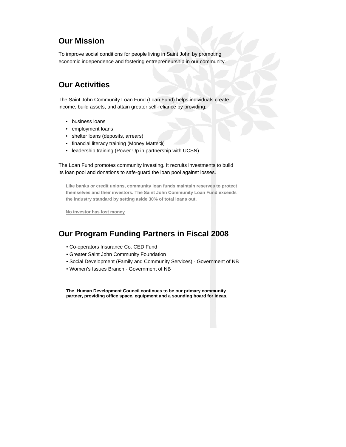# **Our Mission**

To improve social conditions for people living in Saint John by promoting economic independence and fostering entrepreneurship in our community.

#### **Our Activities**

The Saint John Community Loan Fund (Loan Fund) helps individuals create income, build assets, and attain greater self-reliance by providing:

- business loans
- employment loans
- shelter loans (deposits, arrears)
- financial literacy training (Money Matter\$)
- leadership training (Power Up in partnership with UCSN)

The Loan Fund promotes community investing. It recruits investments to build its loan pool and donations to safe-guard the loan pool against losses.

**Like banks or credit unions, community loan funds maintain reserves to protect themselves and their investors. The Saint John Community Loan Fund exceeds the industry standard by setting aside 30% of total loans out.** 

**No investor has lost money**

# **Our Program Funding Partners in Fiscal 2008**

- Co-operators Insurance Co. CED Fund
- Greater Saint John Community Foundation
- Social Development (Family and Community Services) Government of NB
- Women's Issues Branch Government of NB

**The Human Development Council continues to be our primary community partner, providing office space, equipment and a sounding board for ideas**.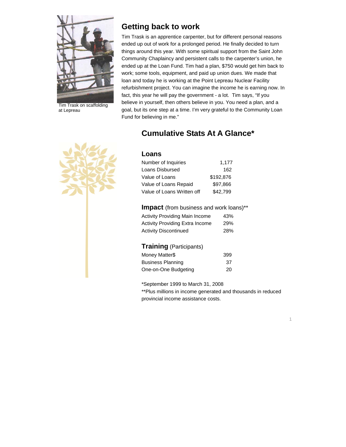

Tim Trask on scaffolding at Lepreau

#### **Getting back to work**

Tim Trask is an apprentice carpenter, but for different personal reasons ended up out of work for a prolonged period. He finally decided to turn things around this year. With some spiritual support from the Saint John Community Chaplaincy and persistent calls to the carpenter's union, he ended up at the Loan Fund. Tim had a plan, \$750 would get him back to work; some tools, equipment, and paid up union dues. We made that loan and today he is working at the Point Lepreau Nuclear Facility refurbishment project. You can imagine the income he is earning now. In fact, this year he will pay the government - a lot. Tim says, "If you believe in yourself, then others believe in you. You need a plan, and a goal, but its one step at a time. I'm very grateful to the Community Loan Fund for believing in me."



# **Cumulative Stats At A Glance\***

#### **Loans**

| Number of Inquiries        | 1,177     |
|----------------------------|-----------|
| Loans Disbursed            | 162       |
| Value of Loans             | \$192.876 |
| Value of Loans Repaid      | \$97.866  |
| Value of Loans Written off | \$42.799  |

#### **Impact** (from business and work loans)\*\*

| <b>Activity Providing Main Income</b> | 43% |
|---------------------------------------|-----|
| Activity Providing Extra Income       | 29% |
| Activity Discontinued                 | 28% |

#### **Training** (Participants)

| Money Matter\$           | 399 |
|--------------------------|-----|
| <b>Business Planning</b> | -37 |
| One-on-One Budgeting     | 20  |

\*September 1999 to March 31, 2008

\*\*Plus millions in income generated and thousands in reduced provincial income assistance costs.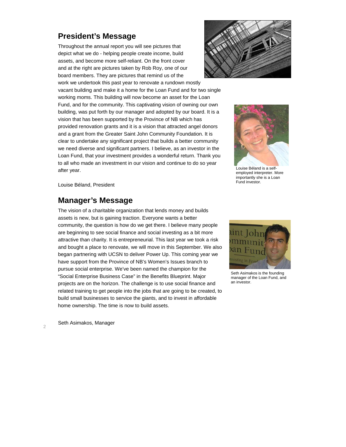#### **President's Message**

Throughout the annual report you will see pictures that depict what we do - helping people create income, build assets, and become more self-reliant. On the front cover and at the right are pictures taken by Rob Roy, one of our board members. They are pictures that remind us of the

work we undertook this past year to renovate a rundown mostly vacant building and make it a home for the Loan Fund and for two single working moms. This building will now become an asset for the Loan Fund, and for the community. This captivating vision of owning our own building, was put forth by our manager and adopted by our board. It is a vision that has been supported by the Province of NB which has provided renovation grants and it is a vision that attracted angel donors and a grant from the Greater Saint John Community Foundation. It is clear to undertake any significant project that builds a better community we need diverse and significant partners. I believe, as an investor in the Loan Fund, that your investment provides a wonderful return. Thank you to all who made an investment in our vision and continue to do so year after year.





Louise Béland is a selfemployed interpreter. More importantly she is a Loan Fund investor.

Louise Béland, President

#### **Manager's Message**

The vision of a charitable organization that lends money and builds assets is new, but is gaining traction. Everyone wants a better community, the question is how do we get there. I believe many people are beginning to see social finance and social investing as a bit more attractive than charity. It is entrepreneurial. This last year we took a risk and bought a place to renovate, we will move in this September. We also began partnering with UCSN to deliver Power Up. This coming year we have support from the Province of NB's Women's Issues branch to pursue social enterprise. We've been named the champion for the "Social Enterprise Business Case" in the Benefits Blueprint. Major projects are on the horizon. The challenge is to use social finance and related training to get people into the jobs that are going to be created, to build small businesses to service the giants, and to invest in affordable home ownership. The time is now to build assets.



Seth Asimakos is the founding manager of the Loan Fund, and an investor.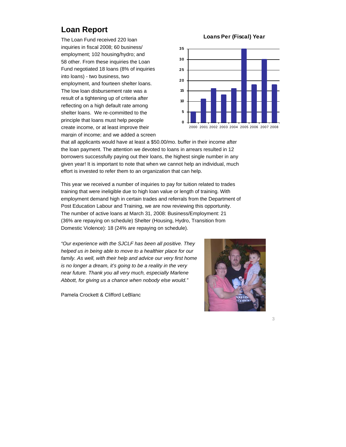# **Loan Report**

The Loan Fund received 220 loan inquiries in fiscal 2008; 60 business/ employment; 102 housing/hydro; and 58 other. From these inquiries the Loan Fund negotiated 18 loans (8% of inquiries into loans) - two business, two employment, and fourteen shelter loans. The low loan disbursement rate was a result of a tightening up of criteria after reflecting on a high default rate among shelter loans. We re-committed to the principle that loans must help people create income, or at least improve their margin of income; and we added a screen



that all applicants would have at least a \$50.00/mo. buffer in their income after the loan payment. The attention we devoted to loans in arrears resulted in 12 borrowers successfully paying out their loans, the highest single number in any given year! It is important to note that when we cannot help an individual, much effort is invested to refer them to an organization that can help.

This year we received a number of inquiries to pay for tuition related to trades training that were ineligible due to high loan value or length of training. With employment demand high in certain trades and referrals from the Department of Post Education Labour and Training, we are now reviewing this opportunity. The number of active loans at March 31, 2008: Business/Employment: 21 (36% are repaying on schedule) Shelter (Housing, Hydro, Transition from Domestic Violence): 18 (24% are repaying on schedule).

*"Our experience with the SJCLF has been all positive. They helped us in being able to move to a healthier place for our family. As well, with their help and advice our very first home is no longer a dream, it's going to be a reality in the very near future. Thank you all very much, especially Marlene Abbott, for giving us a chance when nobody else would."* 

Pamela Crockett & Clifford LeBlanc

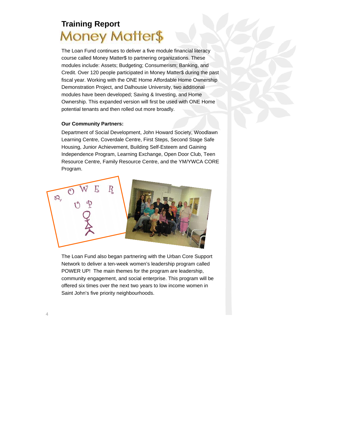# **Training Report Money Matter\$**

The Loan Fund continues to deliver a five module financial literacy course called Money Matter\$ to partnering organizations. These modules include: Assets; Budgeting; Consumerism; Banking, and Credit. Over 120 people participated in Money Matter\$ during the past fiscal year. Working with the ONE Home Affordable Home Ownership Demonstration Project, and Dalhousie University, two additional modules have been developed; Saving & Investing, and Home Ownership. This expanded version will first be used with ONE Home potential tenants and then rolled out more broadly.

#### **Our Community Partners:**

Department of Social Development, John Howard Society, Woodlawn Learning Centre, Coverdale Centre, First Steps, Second Stage Safe Housing, Junior Achievement, Building Self-Esteem and Gaining Independence Program, Learning Exchange, Open Door Club, Teen Resource Centre, Family Resource Centre, and the YM/YWCA CORE Program.



The Loan Fund also began partnering with the Urban Core Support Network to deliver a ten-week women's leadership program called POWER UP! The main themes for the program are leadership, community engagement, and social enterprise. This program will be offered six times over the next two years to low income women in Saint John's five priority neighbourhoods.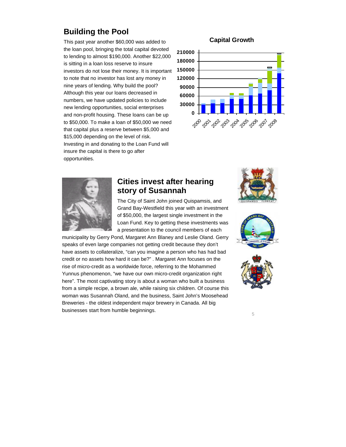# **Building the Pool**

This past year another \$60,000 was added to the loan pool, bringing the total capital devoted to lending to almost \$190,000. Another \$22,000 is sitting in a loan loss reserve to insure investors do not lose their money. It is important to note that no investor has lost any money in nine years of lending. Why build the pool? Although this year our loans decreased in numbers, we have updated policies to include new lending opportunities, social enterprises and non-profit housing. These loans can be up to \$50,000. To make a loan of \$50,000 we need that capital plus a reserve between \$5,000 and \$15,000 depending on the level of risk. Investing in and donating to the Loan Fund will insure the capital is there to go after opportunities.

#### **Capital Growth**





#### **Cities invest after hearing story of Susannah**

The City of Saint John joined Quispamsis, and Grand Bay-Westfield this year with an investment of \$50,000, the largest single investment in the Loan Fund. Key to getting these investments was a presentation to the council members of each

municipality by Gerry Pond, Margaret Ann Blaney and Leslie Oland. Gerry speaks of even large companies not getting credit because they don't have assets to collateralize, "can you imagine a person who has had bad credit or no assets how hard it can be?" . Margaret Ann focuses on the rise of micro-credit as a worldwide force, referring to the Mohammed Yunnus phenomenon, "we have our own micro-credit organization right here". The most captivating story is about a woman who built a business from a simple recipe, a brown ale, while raising six children. Of course this woman was Susannah Oland, and the business, Saint John's Moosehead Breweries - the oldest independent major brewery in Canada. All big businesses start from humble beginnings.





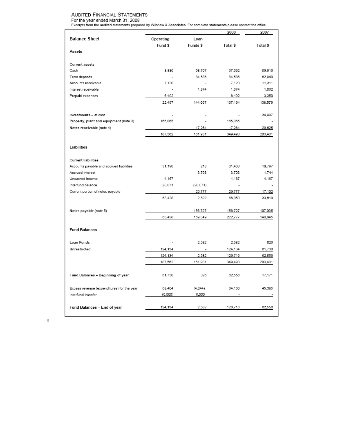#### **AUDITED FINANCIAL STATEMENTS**

For the year ended March 31, 2008<br>Excerpts from the audited statements prepared by Wilshaw & Associates. For complete statements please contact the office.

|                                            |                          |          | 2008     | 2007     |
|--------------------------------------------|--------------------------|----------|----------|----------|
| <b>Balance Sheet</b>                       | Operating                | Loan     |          |          |
|                                            | Fund \$                  | Funds \$ | Total \$ | Total \$ |
| Assets                                     |                          |          |          |          |
|                                            |                          |          |          |          |
| <b>Current assets</b>                      |                          |          |          |          |
| Cash                                       | 8,885                    | 58,707   | 67,592   | 59,916   |
| Term deposits                              | $\overline{\phantom{a}}$ | 84.586   | 84.586   | 62.940   |
| Accounts receivable                        | 7.120                    | ÷        | 7,120    | 11,311   |
| Interest receivable                        |                          | 1,374    | 1.374    | 1,062    |
| Prepaid expenses                           | 6.492                    | $\sim$   | 6,492    | 3,350    |
|                                            | 22.497                   | 144.667  | 167.164  | 138,579  |
|                                            |                          |          |          |          |
| Investments - at cost                      | ٠                        | ٠        |          | 34.997   |
| Property, plant and equipment (note 3)     | 165,065                  |          | 165,065  |          |
| Notes receivable (note 4)                  |                          | 17,264   | 17,264   | 29,825   |
|                                            | 187,562                  | 161,931  | 349,493  | 203,401  |
|                                            |                          |          |          |          |
| Liabilities                                |                          |          |          |          |
|                                            |                          |          |          |          |
| <b>Current liabilities</b>                 |                          |          |          |          |
| Accounts payable and accrued liabilities   | 31.190                   | 213      | 31,403   | 10,797   |
| Accrued interest                           |                          | 3.703    | 3.703    | 1,744    |
| Unearned income                            | 4.167                    | ÷        | 4.167    | 4,167    |
| Interfund balance                          | 28.071                   | (28,071) |          |          |
| Current portion of notes payable           | $\overline{a}$           | 26,777   | 26,777   | 17,102   |
|                                            | 63,428                   | 2.622    | 66,050   | 33,810   |
|                                            |                          |          |          |          |
| Notes payable (note 5)                     | $\overline{a}$           | 156,727  | 156,727  | 107,035  |
|                                            | 63,428                   | 159,349  | 222,777  | 140,845  |
|                                            |                          |          |          |          |
| <b>Fund Balances</b>                       |                          |          |          |          |
|                                            |                          |          |          |          |
| Loan Funds                                 |                          | 2.582    | 2.582    | 826      |
| Unrestricted                               | 124,134                  |          | 124,134  | 61,730   |
|                                            | 124,134                  | 2,582    | 126,716  | 62,556   |
|                                            | 187,562                  | 161,931  | 349,493  | 203,401  |
|                                            |                          |          |          |          |
| Fund Balances - Beginning of year          | 61.730                   | 826      | 62,556   | 17.171   |
|                                            |                          |          |          |          |
| Excess revenue (expenditures) for the year | 68,404                   | (4, 244) | 64,160   | 45,385   |
| Interfund transfer                         | (6,000)                  | 6,000    |          |          |
|                                            |                          |          |          |          |
| Fund Balances - End of year                | 124,134                  | 2,582    | 126,716  | 62,556   |
|                                            |                          |          |          |          |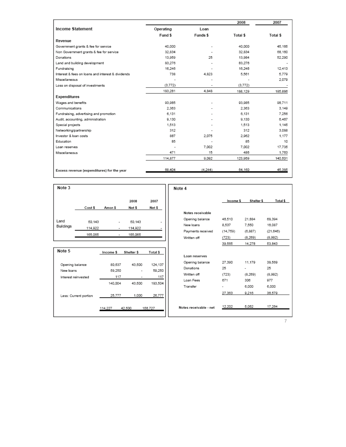|                                                   |           |          | 2008     | 2007     |
|---------------------------------------------------|-----------|----------|----------|----------|
| <b>Income Statement</b>                           | Operating | Loan     |          |          |
|                                                   | Fund \$   | Funds \$ | Total \$ | Total \$ |
| Revenue                                           |           |          |          |          |
| Government grants & fee for service               | 40,000    |          | 40,000   | 45.165   |
| Non Government grants & fee for service           | 32.834    |          | 32.834   | 68.160   |
| Donations                                         | 13,959    | 25       | 13,984   | 52.290   |
| Land and building development                     | 83,276    |          | 83.276   |          |
| Fundraising                                       | 16.246    |          | 16.246   | 12.413   |
| Interest & fees on loans and interest & dividends | 738       | 4.823    | 5.561    | 5.779    |
| Miscellaneous                                     |           |          | ٠        | 2,079    |
| Loss on disposal of investments                   | (3.772)   | ۰        | (3, 772) |          |
|                                                   | 183,281   | 4.848    | 188,129  | 185,886  |
| <b>Expenditures</b>                               |           |          |          |          |
| Wages and benefits                                | 93.985    |          | 93,985   | 98.711   |
| Communications                                    | 2.363     |          | 2.363    | 3.149    |
| Fundraising, advertising and promotion            | 6.131     |          | 6.131    | 7.256    |
| Audit, accounting, administration                 | 9.130     |          | 9.130    | 6.467    |
| Special projects                                  | 1.513     |          | 1.513    | 1.145    |
| Networking/partnership                            | 312       |          | 312      | 3.088    |
| Investor & loan costs                             | 887       | 2.075    | 2.962    | 1.177    |
| Education                                         | 85        |          | 85       | 10       |
| Loan reserves                                     |           | 7.002    | 7.002    | 17.735   |
| Miscellaneous                                     | 471       | 15       | 486      | 1.763    |
|                                                   | 114,877   | 9,092    | 123,969  | 140,501  |
| Excess revenue (expenditures) for the year        | 68,404    | (4, 244) | 64.160   | 45,385   |

Note 4

| Note 3    |         |         |         |        |
|-----------|---------|---------|---------|--------|
|           |         |         | 2008    | 2007   |
|           | Cost \$ | Amor.\$ | Net \$  | Net \$ |
|           |         |         |         |        |
| Land      | 50.143  |         | 50.143  |        |
| Buildings | 114,922 |         | 114,922 |        |
|           | 165,065 |         | 165,065 |        |
|           |         |         |         |        |

| Note 5                | Income \$ | Shelter \$ | Total \$ |
|-----------------------|-----------|------------|----------|
|                       |           |            |          |
| Opening balance       | 80.637    | 43,500     | 124.137  |
| New loans             | 59.250    |            | 59,250   |
| Interest reinvested   | 117       |            | 117      |
|                       | 140.004   | 43.500     | 183,504  |
| Less: Current portion | 25.777    | 1.000      | 26,777   |
|                       | 114,227   | 42,500     | 156.727  |

|                        | Income \$ | Shelter \$ | Total \$ |
|------------------------|-----------|------------|----------|
|                        |           |            |          |
| Notes receivable       |           |            |          |
| Opening balance        | 46.510    | 21.884     | 68.394   |
| New loans              | 8.537     | 7.550      | 16,087   |
| Payments received      | (14,759)  | (6, 887)   | (21.646) |
| Written off            | (723)     | (8, 269)   | (8,992)  |
|                        | 39,565    | 14,278     | 53,843   |
|                        |           |            |          |
| Loan reserves          |           |            |          |
| Opening balance        | 27.390    | 11.179     | 38.569   |
| Donations              | 25        |            | 25       |
| Written off            | (723)     | (8.269)    | (8.992)  |
| Loan Fees              | 671       | 306        | 977      |
| Transfer               |           | 6.000      | 6.000    |
|                        | 27.363    | 9.216      | 36,579   |
|                        |           |            |          |
| Notes receivable - net | 12.202    | 5.062      | 17.264   |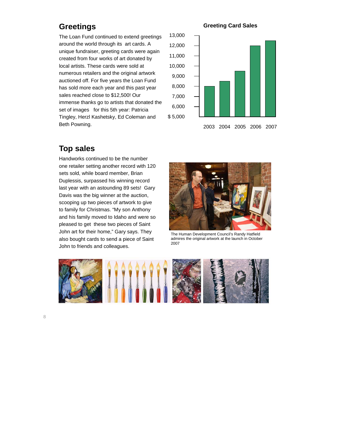# **Greetings**

The Loan Fund continued to extend greetings around the world through its art cards. A unique fundraiser, greeting cards were again created from four works of art donated by local artists. These cards were sold at numerous retailers and the original artwork auctioned off. For five years the Loan Fund has sold more each year and this past year sales reached close to \$12,500! Our immense thanks go to artists that donated the set of images for this 5th year: Patricia Tingley, Herzl Kashetsky, Ed Coleman and Beth Powning.

#### **Greeting Card Sales**



#### **Top sales**

Handworks continued to be the number one retailer setting another record with 120 sets sold, while board member, Brian Duplessis, surpassed his winning record last year with an astounding 89 sets! Gary Davis was the big winner at the auction, scooping up two pieces of artwork to give to family for Christmas. "My son Anthony and his family moved to Idaho and were so pleased to get these two pieces of Saint John art for their home," Gary says. They also bought cards to send a piece of Saint John to friends and colleagues.



The Human Development Council's Randy Hatfield admires the original artwork at the launch in October 2007

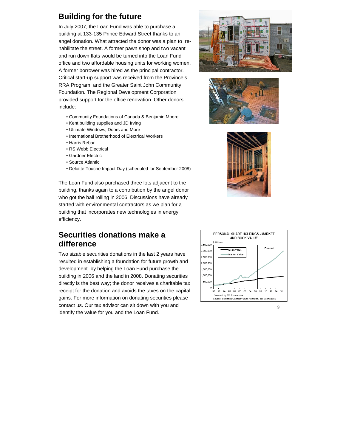# **Building for the future**

In July 2007, the Loan Fund was able to purchase a building at 133-135 Prince Edward Street thanks to an angel donation. What attracted the donor was a plan to rehabilitate the street. A former pawn shop and two vacant and run down flats would be turned into the Loan Fund office and two affordable housing units for working women. A former borrower was hired as the principal contractor. Critical start-up support was received from the Province's RRA Program, and the Greater Saint John Community Foundation. The Regional Development Corporation provided support for the office renovation. Other donors include:

- Community Foundations of Canada & Benjamin Moore
- Kent building supplies and JD Irving
- Ultimate Windows, Doors and More
- International Brotherhood of Electrical Workers
- Harris Rebar
- RS Webb Electrical
- Gardner Electric
- Source Atlantic
- Deloitte Touche Impact Day (scheduled for September 2008)

The Loan Fund also purchased three lots adjacent to the building, thanks again to a contribution by the angel donor who got the ball rolling in 2006. Discussions have already started with environmental contractors as we plan for a building that incorporates new technologies in energy efficiency.

#### **Securities donations make a difference**

Two sizable securities donations in the last 2 years have resulted in establishing a foundation for future growth and development by helping the Loan Fund purchase the building in 2006 and the land in 2008. Donating securities directly is the best way; the donor receives a charitable tax receipt for the donation and avoids the taxes on the capital gains. For more information on donating securities please contact us. Our tax advisor can sit down with you and identify the value for you and the Loan Fund.







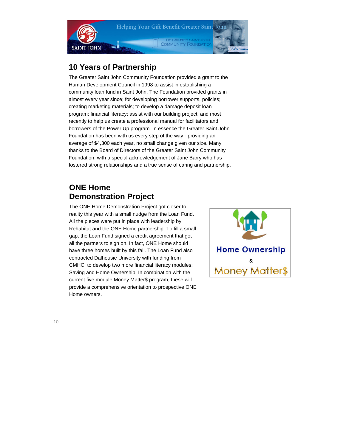

#### **10 Years of Partnership**

The Greater Saint John Community Foundation provided a grant to the Human Development Council in 1998 to assist in establishing a community loan fund in Saint John. The Foundation provided grants in almost every year since; for developing borrower supports, policies; creating marketing materials; to develop a damage deposit loan program; financial literacy; assist with our building project; and most recently to help us create a professional manual for facilitators and borrowers of the Power Up program. In essence the Greater Saint John Foundation has been with us every step of the way - providing an average of \$4,300 each year, no small change given our size. Many thanks to the Board of Directors of the Greater Saint John Community Foundation, with a special acknowledgement of Jane Barry who has fostered strong relationships and a true sense of caring and partnership.

# **ONE Home Demonstration Project**

The ONE Home Demonstration Project got closer to reality this year with a small nudge from the Loan Fund. All the pieces were put in place with leadership by Rehabitat and the ONE Home partnership. To fill a small gap, the Loan Fund signed a credit agreement that got all the partners to sign on. In fact, ONE Home should have three homes built by this fall. The Loan Fund also contracted Dalhousie University with funding from CMHC, to develop two more financial literacy modules; Saving and Home Ownership. In combination with the current five module Money Matter\$ program, these will provide a comprehensive orientation to prospective ONE Home owners.

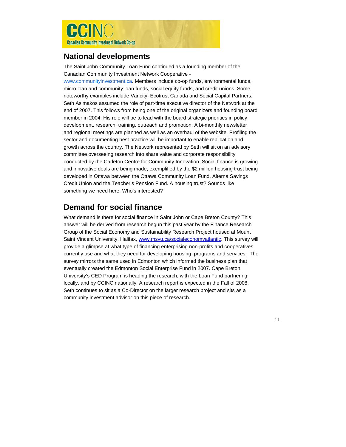

#### **National developments**

The Saint John Community Loan Fund continued as a founding member of the Canadian Community Investment Network Cooperative -

www.communityinvestment.ca. Members include co-op funds, environmental funds, micro loan and community loan funds, social equity funds, and credit unions. Some noteworthy examples include Vancity, Ecotrust Canada and Social Capital Partners. Seth Asimakos assumed the role of part-time executive director of the Network at the end of 2007. This follows from being one of the original organizers and founding board member in 2004. His role will be to lead with the board strategic priorities in policy development, research, training, outreach and promotion. A bi-monthly newsletter and regional meetings are planned as well as an overhaul of the website. Profiling the sector and documenting best practice will be important to enable replication and growth across the country. The Network represented by Seth will sit on an advisory committee overseeing research into share value and corporate responsibility conducted by the Carleton Centre for Community Innovation. Social finance is growing and innovative deals are being made; exemplified by the \$2 million housing trust being developed in Ottawa between the Ottawa Community Loan Fund, Alterna Savings Credit Union and the Teacher's Pension Fund. A housing trust? Sounds like something we need here. Who's interested?

# **Demand for social finance**

What demand is there for social finance in Saint John or Cape Breton County? This answer will be derived from research begun this past year by the Finance Research Group of the Social Economy and Sustainability Research Project housed at Mount Saint Vincent University, Halifax, www.msvu.ca/socialeconomyatlantic. This survey will provide a glimpse at what type of financing enterprising non-profits and cooperatives currently use and what they need for developing housing, programs and services. The survey mirrors the same used in Edmonton which informed the business plan that eventually created the Edmonton Social Enterprise Fund in 2007. Cape Breton University's CED Program is heading the research, with the Loan Fund partnering locally, and by CCINC nationally. A research report is expected in the Fall of 2008. Seth continues to sit as a Co-Director on the larger research project and sits as a community investment advisor on this piece of research.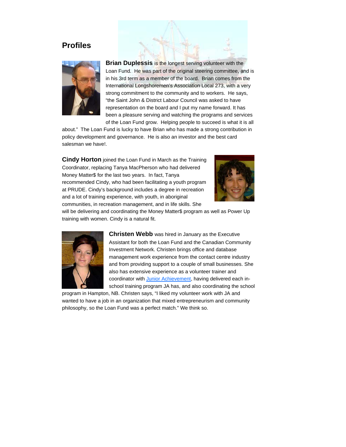#### **Profiles**



**Brian Duplessis** is the longest serving volunteer with the Loan Fund. He was part of the original steering committee, and is in his 3rd term as a member of the board. Brian comes from the International Longshoremen's Association Local 273, with a very strong commitment to the community and to workers. He says, "the Saint John & District Labour Council was asked to have representation on the board and I put my name forward. It has been a pleasure serving and watching the programs and services of the Loan Fund grow. Helping people to succeed is what it is all

about." The Loan Fund is lucky to have Brian who has made a strong contribution in policy development and governance. He is also an investor and the best card salesman we have!.

**Cindy Horton** joined the Loan Fund in March as the Training Coordinator, replacing Tanya MacPherson who had delivered Money Matter\$ for the last two years. In fact, Tanya recommended Cindy, who had been facilitating a youth program at PRUDE. Cindy's background includes a degree in recreation and a lot of training experience, with youth, in aboriginal communities, in recreation management, and in life skills. She



will be delivering and coordinating the Money Matter\$ program as well as Power Up training with women. Cindy is a natural fit.



**Christen Webb** was hired in January as the Executive Assistant for both the Loan Fund and the Canadian Community Investment Network. Christen brings office and database management work experience from the contact centre industry and from providing support to a couple of small businesses. She also has extensive experience as a volunteer trainer and coordinator with Junior Achievement, having delivered each inschool training program JA has, and also coordinating the school

program in Hampton, NB. Christen says, "I liked my volunteer work with JA and wanted to have a job in an organization that mixed entrepreneurism and community philosophy, so the Loan Fund was a perfect match." We think so.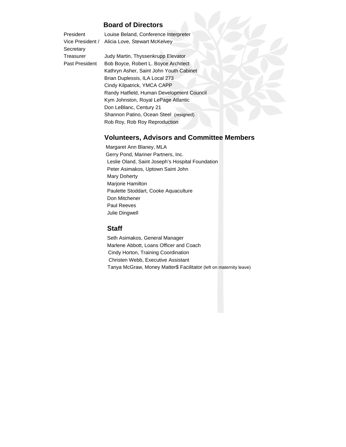#### **Board of Directors**

| President      | Louise Beland, Conference Interpreter          |
|----------------|------------------------------------------------|
|                | Vice President / Alicia Love, Stewart McKelvey |
| Secretary      |                                                |
| Treasurer      | Judy Martin, Thyssenkrupp Elevator             |
| Past President | Bob Boyce, Robert L. Boyce Architect           |
|                | Kathrup Acher Coint John Vouth Cohinet         |

 Kathryn Asher, Saint John Youth Cabinet Brian Duplessis, ILA Local 273 Cindy Kilpatrick, YMCA CAPP Randy Hatfield, Human Development Council Kym Johnston, Royal LePage Atlantic Don LeBlanc, Century 21 Shannon Patino, Ocean Steel (resigned) Rob Roy, Rob Roy Reproduction

#### **Volunteers, Advisors and Committee Members**

 Margaret Ann Blaney, MLA Gerry Pond, Mariner Partners, Inc. Leslie Oland, Saint Joseph's Hospital Foundation Peter Asimakos, Uptown Saint John Mary Doherty Marjorie Hamilton Paulette Stoddart, Cooke Aquaculture Don Mitchener Paul Reeves Julie Dingwell

#### **Staff**

Seth Asimakos, General Manager Marlene Abbott, Loans Officer and Coach Cindy Horton, Training Coordination Christen Webb, Executive Assistant Tanya McGraw, Money Matter\$ Facilitator (left on maternity leave)